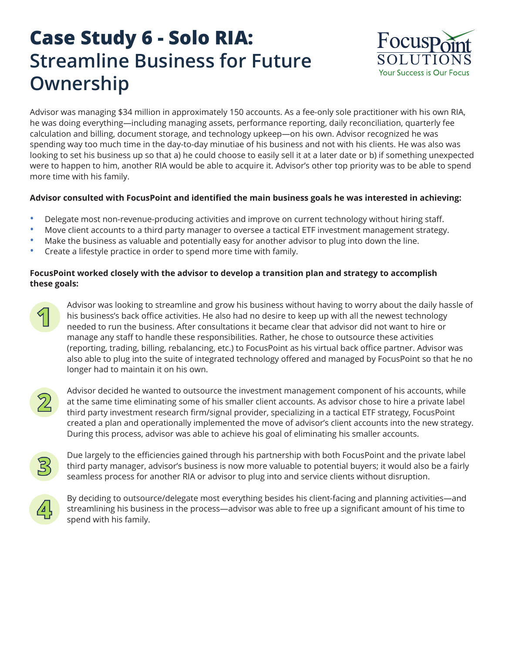## **Case Study 6 - Solo RIA: Streamline Business for Future Ownership**



Advisor was managing \$34 million in approximately 150 accounts. As a fee-only sole practitioner with his own RIA, he was doing everything—including managing assets, performance reporting, daily reconciliation, quarterly fee calculation and billing, document storage, and technology upkeep—on his own. Advisor recognized he was spending way too much time in the day-to-day minutiae of his business and not with his clients. He was also was looking to set his business up so that a) he could choose to easily sell it at a later date or b) if something unexpected were to happen to him, another RIA would be able to acquire it. Advisor's other top priority was to be able to spend more time with his family.

## **Advisor consulted with FocusPoint and identified the main business goals he was interested in achieving:**

- Delegate most non-revenue-producing activities and improve on current technology without hiring staff.
- Move client accounts to a third party manager to oversee a tactical ETF investment management strategy.
- Make the business as valuable and potentially easy for another advisor to plug into down the line.
- Create a lifestyle practice in order to spend more time with family.

## **FocusPoint worked closely with the advisor to develop a transition plan and strategy to accomplish these goals:**



Advisor was looking to streamline and grow his business without having to worry about the daily hassle of his business's back office activities. He also had no desire to keep up with all the newest technology needed to run the business. After consultations it became clear that advisor did not want to hire or manage any staff to handle these responsibilities. Rather, he chose to outsource these activities (reporting, trading, billing, rebalancing, etc.) to FocusPoint as his virtual back office partner. Advisor was also able to plug into the suite of integrated technology offered and managed by FocusPoint so that he no longer had to maintain it on his own.



Advisor decided he wanted to outsource the investment management component of his accounts, while at the same time eliminating some of his smaller client accounts. As advisor chose to hire a private label third party investment research firm/signal provider, specializing in a tactical ETF strategy, FocusPoint created a plan and operationally implemented the move of advisor's client accounts into the new strategy. During this process, advisor was able to achieve his goal of eliminating his smaller accounts.



Due largely to the efficiencies gained through his partnership with both FocusPoint and the private label third party manager, advisor's business is now more valuable to potential buyers; it would also be a fairly seamless process for another RIA or advisor to plug into and service clients without disruption.



By deciding to outsource/delegate most everything besides his client-facing and planning activities—and streamlining his business in the process—advisor was able to free up a significant amount of his time to spend with his family.